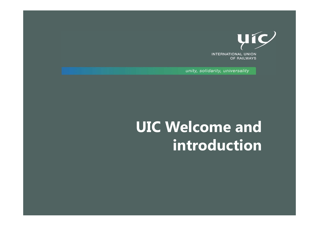

**INTERNATIONAL UNION** OF RAILWAYS

unity, solidarity, universality

# **UIC Welcome and introduction**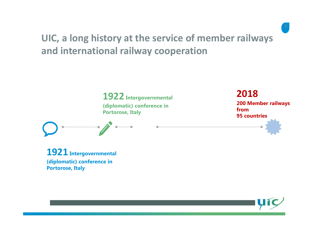### **UIC, <sup>a</sup> long history at the service of member railways and international railway cooperation**



**1921 Intergovernmental (diplomatic) conference in Portorose, Italy**

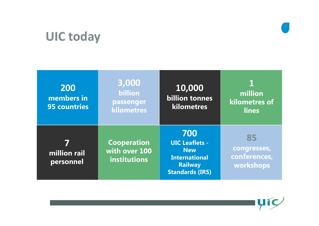# **UIC today**



| 200<br>members in<br><b>95 countries</b> | 3,000<br><b>billion</b><br>passenger<br>kilometres  | 10,000<br><b>billion tonnes</b><br>kilometres                                                                  | million<br>kilometres of<br><b>lines</b>       |
|------------------------------------------|-----------------------------------------------------|----------------------------------------------------------------------------------------------------------------|------------------------------------------------|
| million rail<br>personnel                | <b>Cooperation</b><br>with over 100<br>institutions | 700<br><b>UIC Leaflets -</b><br><b>New</b><br><b>International</b><br><b>Railway</b><br><b>Standards (IRS)</b> | 85<br>congresses,<br>conferences,<br>workshops |

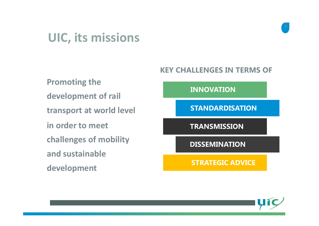### **UIC, its missions**

**Promoting the development of rail transport at world level STANDARDISATION in order to meet challenges of mobility and sustainable development**

#### **KEY CHALLENGES IN TERMS OF**

**INNOVATION**

**TRANSMISSION**

**DISSEMINATION**

**STRATEGIC ADVICE**

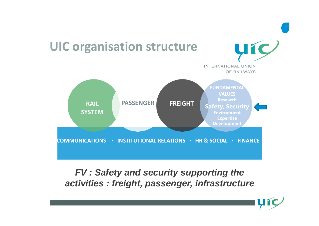

### *FV : Safety and security supporting the activities : freight, passenger, infrastructure*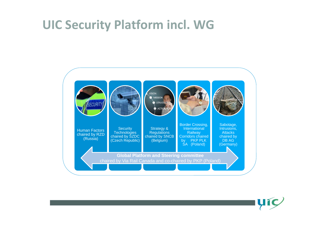## **UIC Security Platform incl. WG**



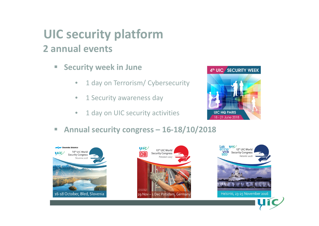### **UIC security platform 2 annual events**

- $\blacksquare$  **Security week in June**
	- $\bullet$ • 1 day on Terrorism/ Cybersecurity
	- $\bullet$ • 1 Security awareness day
	- $\bullet$ • 1 day on UIC security activities
- $\overline{\phantom{a}}$ **Annual security congress – 16‐18/10/2018**







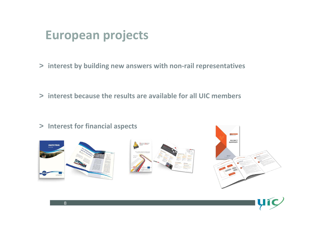### **European projects**

> **interest by building new answers with non ‐rail representatives**

> **interest because the results are available for all UIC members**







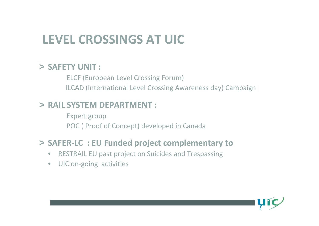# **LEVEL CROSSINGS AT UIC**

#### > **SAFETY UNIT :**

ELCF (European Level Crossing Forum) ILCAD (International Level Crossing Awareness day) Campaign

#### > **RAIL SYSTEM DEPARTMENT :**

Expert group POC ( Proof of Concept) developed in Canada

#### > **SAFER‐LC : EU Funded project complementary to**

- $\bullet$ RESTRAIL EU past project on Suicides and Trespassing
- $\bullet$ ● UIC on-going activities